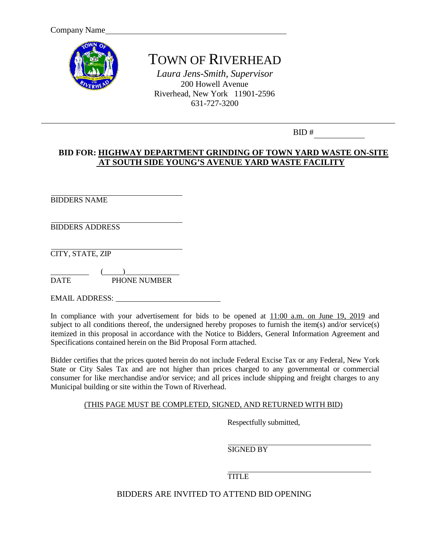

# TOWN OF RIVERHEAD

*Laura Jens-Smith, Supervisor* 200 Howell Avenue Riverhead, New York 11901-2596 631-727-3200

BID #

#### **BID FOR: HIGHWAY DEPARTMENT GRINDING OF TOWN YARD WASTE ON-SITE AT SOUTH SIDE YOUNG'S AVENUE YARD WASTE FACILITY**

BIDDERS NAME

BIDDERS ADDRESS

CITY, STATE, ZIP

 $\qquad \qquad$ DATE PHONE NUMBER

EMAIL ADDRESS:

In compliance with your advertisement for bids to be opened at  $11:00$  a.m. on June 19, 2019 and subject to all conditions thereof, the undersigned hereby proposes to furnish the item(s) and/or service(s) itemized in this proposal in accordance with the Notice to Bidders, General Information Agreement and Specifications contained herein on the Bid Proposal Form attached.

Bidder certifies that the prices quoted herein do not include Federal Excise Tax or any Federal, New York State or City Sales Tax and are not higher than prices charged to any governmental or commercial consumer for like merchandise and/or service; and all prices include shipping and freight charges to any Municipal building or site within the Town of Riverhead.

#### (THIS PAGE MUST BE COMPLETED, SIGNED, AND RETURNED WITH BID)

Respectfully submitted,

SIGNED BY

TITLE

BIDDERS ARE INVITED TO ATTEND BID OPENING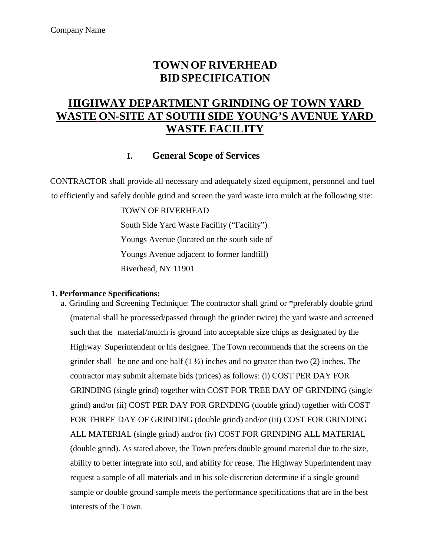# **TOWN OF RIVERHEAD BIDSPECIFICATION**

# **HIGHWAY DEPARTMENT GRINDING OF TOWN YARD WASTE ON-SITE AT SOUTH SIDE YOUNG'S AVENUE YARD WASTE FACILITY**

## **I. General Scope of Services**

CONTRACTOR shall provide all necessary and adequately sized equipment, personnel and fuel to efficiently and safely double grind and screen the yard waste into mulch at the following site:

> TOWN OF RIVERHEAD South Side Yard Waste Facility ("Facility") Youngs Avenue (located on the south side of Youngs Avenue adjacent to former landfill) Riverhead, NY 11901

## **1. Performance Specifications:**

a. Grinding and Screening Technique: The contractor shall grind or \*preferably double grind (material shall be processed/passed through the grinder twice) the yard waste and screened such that the material/mulch is ground into acceptable size chips as designated by the Highway Superintendent or his designee. The Town recommends that the screens on the grinder shall be one and one half  $(1 \frac{1}{2})$  inches and no greater than two  $(2)$  inches. The contractor may submit alternate bids (prices) as follows: (i) COST PER DAY FOR GRINDING (single grind) together with COST FOR TREE DAY OF GRINDING (single grind) and/or (ii) COST PER DAY FOR GRINDING (double grind) together with COST FOR THREE DAY OF GRINDING (double grind) and/or (iii) COST FOR GRINDING ALL MATERIAL (single grind) and/or (iv) COST FOR GRINDING ALL MATERIAL (double grind). As stated above, the Town prefers double ground material due to the size, ability to better integrate into soil, and ability for reuse. The Highway Superintendent may request a sample of all materials and in his sole discretion determine if a single ground sample or double ground sample meets the performance specifications that are in the best interests of the Town.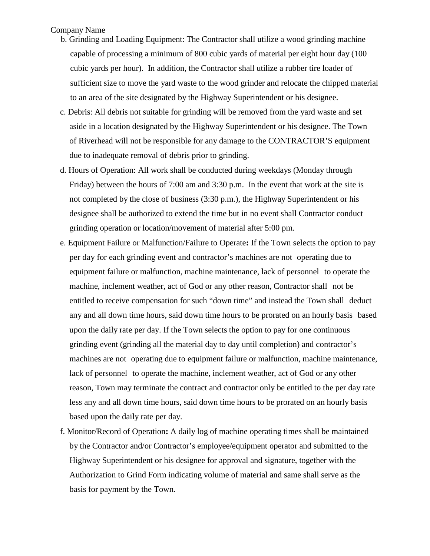#### Company Name

- b. Grinding and Loading Equipment: The Contractor shall utilize a wood grinding machine capable of processing a minimum of 800 cubic yards of material per eight hour day (100 cubic yards per hour). In addition, the Contractor shall utilize a rubber tire loader of sufficient size to move the yard waste to the wood grinder and relocate the chipped material to an area of the site designated by the Highway Superintendent or his designee.
- c. Debris: All debris not suitable for grinding will be removed from the yard waste and set aside in a location designated by the Highway Superintendent or his designee. The Town of Riverhead will not be responsible for any damage to the CONTRACTOR'S equipment due to inadequate removal of debris prior to grinding.
- d. Hours of Operation: All work shall be conducted during weekdays (Monday through Friday) between the hours of 7:00 am and 3:30 p.m. In the event that work at the site is not completed by the close of business (3:30 p.m.), the Highway Superintendent or his designee shall be authorized to extend the time but in no event shall Contractor conduct grinding operation or location/movement of material after 5:00 pm.
- e. Equipment Failure or Malfunction/Failure to Operate**:** If the Town selects the option to pay per day for each grinding event and contractor's machines are not operating due to equipment failure or malfunction, machine maintenance, lack of personnel to operate the machine, inclement weather, act of God or any other reason, Contractor shall not be entitled to receive compensation for such "down time" and instead the Town shall deduct any and all down time hours, said down time hours to be prorated on an hourly basis based upon the daily rate per day. If the Town selects the option to pay for one continuous grinding event (grinding all the material day to day until completion) and contractor's machines are not operating due to equipment failure or malfunction, machine maintenance, lack of personnel to operate the machine, inclement weather, act of God or any other reason, Town may terminate the contract and contractor only be entitled to the per day rate less any and all down time hours, said down time hours to be prorated on an hourly basis based upon the daily rate per day.
- f. Monitor/Record of Operation**:** A daily log of machine operating times shall be maintained by the Contractor and/or Contractor's employee/equipment operator and submitted to the Highway Superintendent or his designee for approval and signature, together with the Authorization to Grind Form indicating volume of material and same shall serve as the basis for payment by the Town.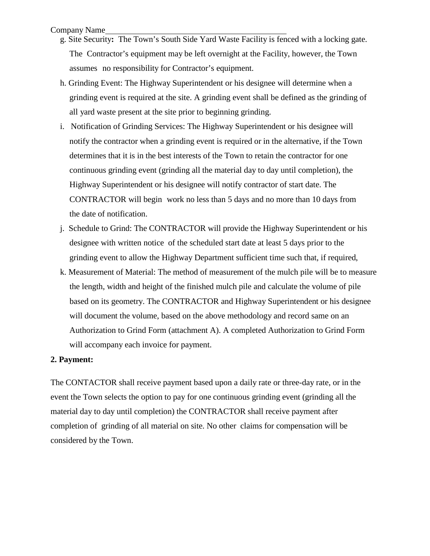#### Company Name

- g. Site Security**:** The Town's South Side Yard Waste Facility is fenced with a locking gate. The Contractor's equipment may be left overnight at the Facility, however, the Town assumes no responsibility for Contractor's equipment.
- h. Grinding Event: The Highway Superintendent or his designee will determine when a grinding event is required at the site. A grinding event shall be defined as the grinding of all yard waste present at the site prior to beginning grinding.
- i. Notification of Grinding Services: The Highway Superintendent or his designee will notify the contractor when a grinding event is required or in the alternative, if the Town determines that it is in the best interests of the Town to retain the contractor for one continuous grinding event (grinding all the material day to day until completion), the Highway Superintendent or his designee will notify contractor of start date. The CONTRACTOR will begin work no less than 5 days and no more than 10 days from the date of notification.
- j. Schedule to Grind: The CONTRACTOR will provide the Highway Superintendent or his designee with written notice of the scheduled start date at least 5 days prior to the grinding event to allow the Highway Department sufficient time such that, if required,
- k. Measurement of Material: The method of measurement of the mulch pile will be to measure the length, width and height of the finished mulch pile and calculate the volume of pile based on its geometry. The CONTRACTOR and Highway Superintendent or his designee will document the volume, based on the above methodology and record same on an Authorization to Grind Form (attachment A). A completed Authorization to Grind Form will accompany each invoice for payment.

#### **2. Payment:**

The CONTACTOR shall receive payment based upon a daily rate or three-day rate, or in the event the Town selects the option to pay for one continuous grinding event (grinding all the material day to day until completion) the CONTRACTOR shall receive payment after completion of grinding of all material on site. No other claims for compensation will be considered by the Town.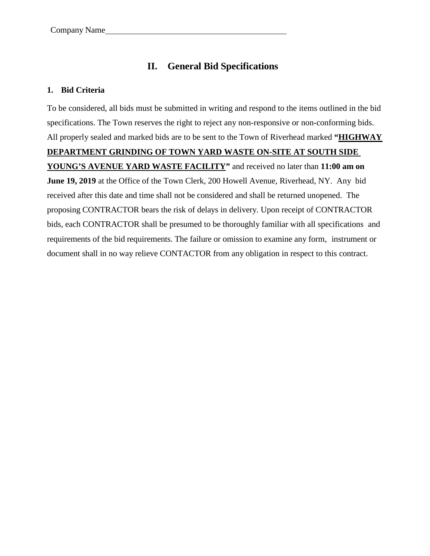# **II. General Bid Specifications**

### **1. Bid Criteria**

To be considered, all bids must be submitted in writing and respond to the items outlined in the bid specifications. The Town reserves the right to reject any non-responsive or non-conforming bids. All properly sealed and marked bids are to be sent to the Town of Riverhead marked **"HIGHWAY DEPARTMENT GRINDING OF TOWN YARD WASTE ON-SITE AT SOUTH SIDE YOUNG'S AVENUE YARD WASTE FACILITY"** and received no later than **11:00 am on June 19, 2019** at the Office of the Town Clerk, 200 Howell Avenue, Riverhead, NY. Any bid received after this date and time shall not be considered and shall be returned unopened. The proposing CONTRACTOR bears the risk of delays in delivery. Upon receipt of CONTRACTOR bids, each CONTRACTOR shall be presumed to be thoroughly familiar with all specifications and requirements of the bid requirements. The failure or omission to examine any form, instrument or document shall in no way relieve CONTACTOR from any obligation in respect to this contract.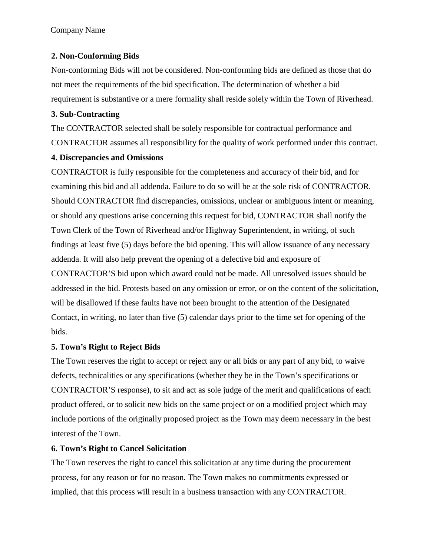## **2. Non-Conforming Bids**

Non-conforming Bids will not be considered. Non-conforming bids are defined as those that do not meet the requirements of the bid specification. The determination of whether a bid requirement is substantive or a mere formality shall reside solely within the Town of Riverhead.

## **3. Sub-Contracting**

The CONTRACTOR selected shall be solely responsible for contractual performance and CONTRACTOR assumes all responsibility for the quality of work performed under this contract.

## **4. Discrepancies and Omissions**

CONTRACTOR is fully responsible for the completeness and accuracy of their bid, and for examining this bid and all addenda. Failure to do so will be at the sole risk of CONTRACTOR. Should CONTRACTOR find discrepancies, omissions, unclear or ambiguous intent or meaning, or should any questions arise concerning this request for bid, CONTRACTOR shall notify the Town Clerk of the Town of Riverhead and/or Highway Superintendent, in writing, of such findings at least five (5) days before the bid opening. This will allow issuance of any necessary addenda. It will also help prevent the opening of a defective bid and exposure of CONTRACTOR'S bid upon which award could not be made. All unresolved issues should be addressed in the bid. Protests based on any omission or error, or on the content of the solicitation, will be disallowed if these faults have not been brought to the attention of the Designated Contact, in writing, no later than five (5) calendar days prior to the time set for opening of the bids.

## **5. Town's Right to Reject Bids**

The Town reserves the right to accept or reject any or all bids or any part of any bid, to waive defects, technicalities or any specifications (whether they be in the Town's specifications or CONTRACTOR'S response), to sit and act as sole judge of the merit and qualifications of each product offered, or to solicit new bids on the same project or on a modified project which may include portions of the originally proposed project as the Town may deem necessary in the best interest of the Town.

## **6. Town's Right to Cancel Solicitation**

The Town reserves the right to cancel this solicitation at any time during the procurement process, for any reason or for no reason. The Town makes no commitments expressed or implied, that this process will result in a business transaction with any CONTRACTOR.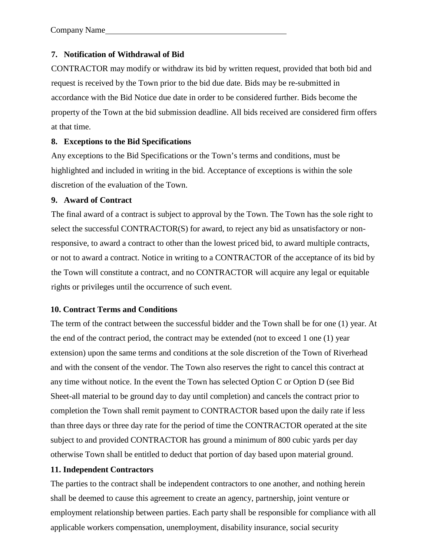## **7. Notification of Withdrawal of Bid**

CONTRACTOR may modify or withdraw its bid by written request, provided that both bid and request is received by the Town prior to the bid due date. Bids may be re-submitted in accordance with the Bid Notice due date in order to be considered further. Bids become the property of the Town at the bid submission deadline. All bids received are considered firm offers at that time.

## **8. Exceptions to the Bid Specifications**

Any exceptions to the Bid Specifications or the Town's terms and conditions, must be highlighted and included in writing in the bid. Acceptance of exceptions is within the sole discretion of the evaluation of the Town.

## **9. Award of Contract**

The final award of a contract is subject to approval by the Town. The Town has the sole right to select the successful CONTRACTOR(S) for award, to reject any bid as unsatisfactory or nonresponsive, to award a contract to other than the lowest priced bid, to award multiple contracts, or not to award a contract. Notice in writing to a CONTRACTOR of the acceptance of its bid by the Town will constitute a contract, and no CONTRACTOR will acquire any legal or equitable rights or privileges until the occurrence of such event.

## **10. Contract Terms and Conditions**

The term of the contract between the successful bidder and the Town shall be for one (1) year. At the end of the contract period, the contract may be extended (not to exceed 1 one (1) year extension) upon the same terms and conditions at the sole discretion of the Town of Riverhead and with the consent of the vendor. The Town also reserves the right to cancel this contract at any time without notice. In the event the Town has selected Option C or Option D (see Bid Sheet-all material to be ground day to day until completion) and cancels the contract prior to completion the Town shall remit payment to CONTRACTOR based upon the daily rate if less than three days or three day rate for the period of time the CONTRACTOR operated at the site subject to and provided CONTRACTOR has ground a minimum of 800 cubic yards per day otherwise Town shall be entitled to deduct that portion of day based upon material ground.

## **11. Independent Contractors**

The parties to the contract shall be independent contractors to one another, and nothing herein shall be deemed to cause this agreement to create an agency, partnership, joint venture or employment relationship between parties. Each party shall be responsible for compliance with all applicable workers compensation, unemployment, disability insurance, social security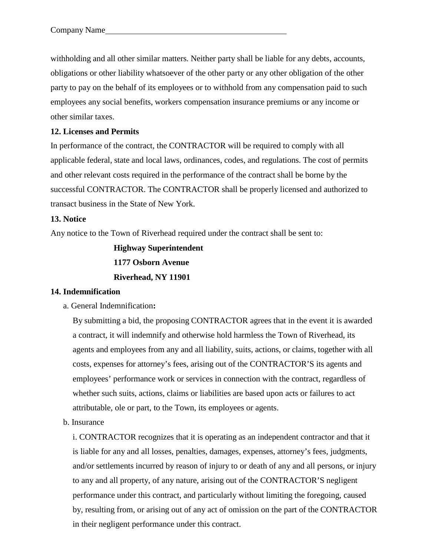withholding and all other similar matters. Neither party shall be liable for any debts, accounts, obligations or other liability whatsoever of the other party or any other obligation of the other party to pay on the behalf of its employees or to withhold from any compensation paid to such employees any social benefits, workers compensation insurance premiums or any income or other similar taxes.

### **12. Licenses and Permits**

In performance of the contract, the CONTRACTOR will be required to comply with all applicable federal, state and local laws, ordinances, codes, and regulations. The cost of permits and other relevant costs required in the performance of the contract shall be borne by the successful CONTRACTOR. The CONTRACTOR shall be properly licensed and authorized to transact business in the State of New York.

#### **13. Notice**

Any notice to the Town of Riverhead required under the contract shall be sent to:

# **Highway Superintendent 1177 Osborn Avenue Riverhead, NY 11901**

#### **14. Indemnification**

a. General Indemnification**:**

By submitting a bid, the proposing CONTRACTOR agrees that in the event it is awarded a contract, it will indemnify and otherwise hold harmless the Town of Riverhead, its agents and employees from any and all liability, suits, actions, or claims, together with all costs, expenses for attorney's fees, arising out of the CONTRACTOR'S its agents and employees' performance work or services in connection with the contract, regardless of whether such suits, actions, claims or liabilities are based upon acts or failures to act attributable, ole or part, to the Town, its employees or agents.

b. Insurance

i. CONTRACTOR recognizes that it is operating as an independent contractor and that it is liable for any and all losses, penalties, damages, expenses, attorney's fees, judgments, and/or settlements incurred by reason of injury to or death of any and all persons, or injury to any and all property, of any nature, arising out of the CONTRACTOR'S negligent performance under this contract, and particularly without limiting the foregoing, caused by, resulting from, or arising out of any act of omission on the part of the CONTRACTOR in their negligent performance under this contract.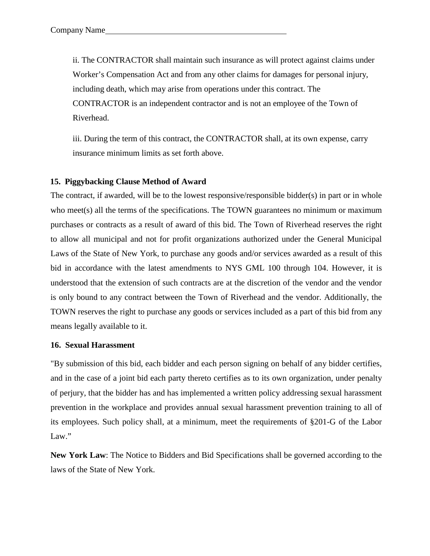ii. The CONTRACTOR shall maintain such insurance as will protect against claims under Worker's Compensation Act and from any other claims for damages for personal injury, including death, which may arise from operations under this contract. The CONTRACTOR is an independent contractor and is not an employee of the Town of Riverhead.

iii. During the term of this contract, the CONTRACTOR shall, at its own expense, carry insurance minimum limits as set forth above.

#### **15. Piggybacking Clause Method of Award**

The contract, if awarded, will be to the lowest responsive/responsible bidder(s) in part or in whole who meet(s) all the terms of the specifications. The TOWN guarantees no minimum or maximum purchases or contracts as a result of award of this bid. The Town of Riverhead reserves the right to allow all municipal and not for profit organizations authorized under the General Municipal Laws of the State of New York, to purchase any goods and/or services awarded as a result of this bid in accordance with the latest amendments to NYS GML 100 through 104. However, it is understood that the extension of such contracts are at the discretion of the vendor and the vendor is only bound to any contract between the Town of Riverhead and the vendor. Additionally, the TOWN reserves the right to purchase any goods or services included as a part of this bid from any means legally available to it.

#### **16. Sexual Harassment**

"By submission of this bid, each bidder and each person signing on behalf of any bidder certifies, and in the case of a joint bid each party thereto certifies as to its own organization, under penalty of perjury, that the bidder has and has implemented a written policy addressing sexual harassment prevention in the workplace and provides annual sexual harassment prevention training to all of its employees. Such policy shall, at a minimum, meet the requirements of §201-G of the Labor Law."

**New York Law**: The Notice to Bidders and Bid Specifications shall be governed according to the laws of the State of New York.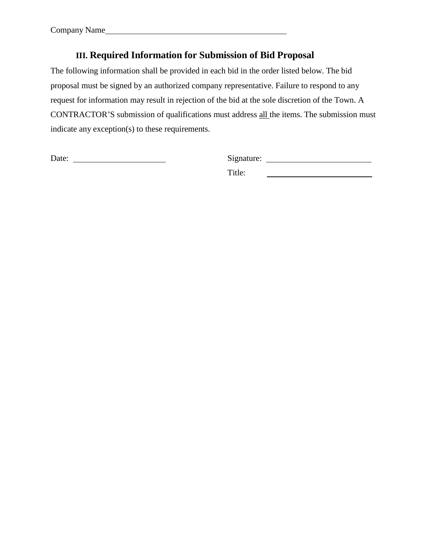# **III. Required Information for Submission of Bid Proposal**

The following information shall be provided in each bid in the order listed below. The bid proposal must be signed by an authorized company representative. Failure to respond to any request for information may result in rejection of the bid at the sole discretion of the Town. A CONTRACTOR'S submission of qualifications must address all the items. The submission must indicate any exception(s) to these requirements.

Date: Signature: Signature: Signature: Signature: Signature: Signature: Signature: Signature: Signature: Signature: Signature: Signature: Signature: Signature: Signature: Signature: Signature: Signature: Signature: Signatu

<u> 1990 - Johann Barbara, martin a</u>

Title: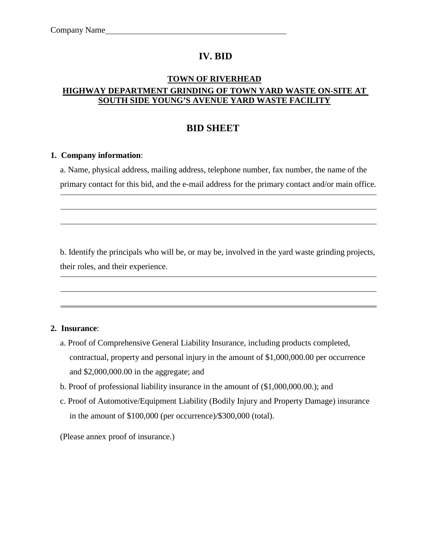## **IV. BID**

## **TOWN OF RIVERHEAD HIGHWAY DEPARTMENT GRINDING OF TOWN YARD WASTE ON-SITE AT SOUTH SIDE YOUNG'S AVENUE YARD WASTE FACILITY**

## **BID SHEET**

#### **1. Company information**:

a. Name, physical address, mailing address, telephone number, fax number, the name of the primary contact for this bid, and the e-mail address for the primary contact and/or main office.

b. Identify the principals who will be, or may be, involved in the yard waste grinding projects, their roles, and their experience.

#### **2. Insurance**:

- a. Proof of Comprehensive General Liability Insurance, including products completed, contractual, property and personal injury in the amount of \$1,000,000.00 per occurrence and \$2,000,000.00 in the aggregate; and
- b. Proof of professional liability insurance in the amount of (\$1,000,000.00.); and
- c. Proof of Automotive/Equipment Liability (Bodily Injury and Property Damage) insurance in the amount of \$100,000 (per occurrence)/\$300,000 (total).

(Please annex proof of insurance.)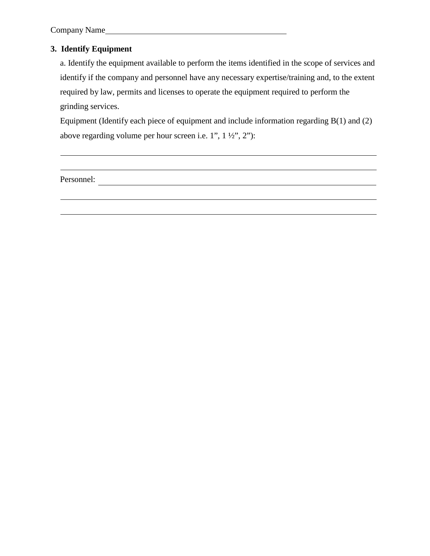## **3. Identify Equipment**

a. Identify the equipment available to perform the items identified in the scope of services and identify if the company and personnel have any necessary expertise/training and, to the extent required by law, permits and licenses to operate the equipment required to perform the grinding services.

Equipment (Identify each piece of equipment and include information regarding B(1) and (2) above regarding volume per hour screen i.e. 1", 1 ½", 2"):

Personnel: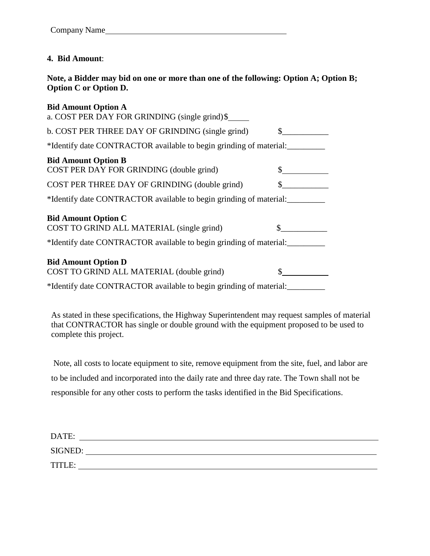## **4. Bid Amount**:

**Note, a Bidder may bid on one or more than one of the following: Option A; Option B; Option C or Option D.** 

| <b>Bid Amount Option A</b><br>a. COST PER DAY FOR GRINDING (single grind)\$ |                             |
|-----------------------------------------------------------------------------|-----------------------------|
| b. COST PER THREE DAY OF GRINDING (single grind)                            | $\mathbb{S}$                |
| *Identify date CONTRACTOR available to begin grinding of material:          |                             |
| <b>Bid Amount Option B</b><br>COST PER DAY FOR GRINDING (double grind)      |                             |
| COST PER THREE DAY OF GRINDING (double grind)                               | $\frac{\text{S}}{\text{S}}$ |
| *Identify date CONTRACTOR available to begin grinding of material:          |                             |
| <b>Bid Amount Option C</b><br>COST TO GRIND ALL MATERIAL (single grind)     |                             |
| *Identify date CONTRACTOR available to begin grinding of material:          |                             |
| <b>Bid Amount Option D</b><br>COST TO GRIND ALL MATERIAL (double grind)     |                             |
| *Identify date CONTRACTOR available to begin grinding of material:          |                             |

As stated in these specifications, the Highway Superintendent may request samples of material that CONTRACTOR has single or double ground with the equipment proposed to be used to complete this project.

Note, all costs to locate equipment to site, remove equipment from the site, fuel, and labor are to be included and incorporated into the daily rate and three day rate. The Town shall not be responsible for any other costs to perform the tasks identified in the Bid Specifications.

| DATE:   |  |  |
|---------|--|--|
| SIGNED: |  |  |
| TITLE:  |  |  |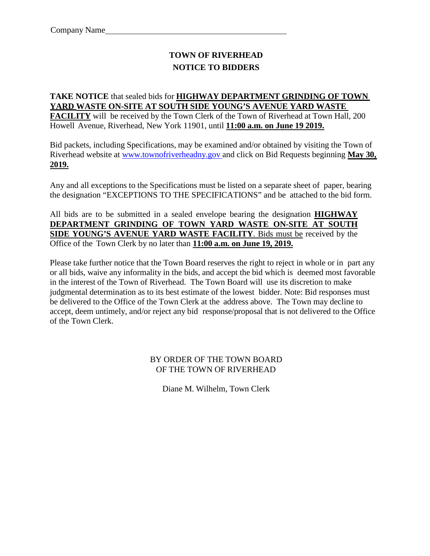# **TOWN OF RIVERHEAD NOTICE TO BIDDERS**

#### **TAKE NOTICE** that sealed bids for **HIGHWAY DEPARTMENT GRINDING OF TOWN YARD WASTE ON-SITE AT SOUTH SIDE YOUNG'S AVENUE YARD WASTE FACILITY** will be received by the Town Clerk of the Town of Riverhead at Town Hall, 200 Howell Avenue, Riverhead, New York 11901, until **11:00 a.m. on June 19 2019.**

Bid packets, including Specifications, may be examined and/or obtained by visiting the Town of Riverhead website at [www.townofriverheadny.gov](http://www.townofriverheadny.gov/) and click on Bid Requests beginning **May 30, 2019.**

Any and all exceptions to the Specifications must be listed on a separate sheet of paper, bearing the designation "EXCEPTIONS TO THE SPECIFICATIONS" and be attached to the bid form.

All bids are to be submitted in a sealed envelope bearing the designation **HIGHWAY DEPARTMENT GRINDING OF TOWN YARD WASTE ON-SITE AT SOUTH SIDE YOUNG'S AVENUE YARD WASTE FACILITY**. Bids must be received by the Office of the Town Clerk by no later than **11:00 a.m. on June 19, 2019.**

Please take further notice that the Town Board reserves the right to reject in whole or in part any or all bids, waive any informality in the bids, and accept the bid which is deemed most favorable in the interest of the Town of Riverhead. The Town Board will use its discretion to make judgmental determination as to its best estimate of the lowest bidder. Note: Bid responses must be delivered to the Office of the Town Clerk at the address above. The Town may decline to accept, deem untimely, and/or reject any bid response/proposal that is not delivered to the Office of the Town Clerk.

## BY ORDER OF THE TOWN BOARD OF THE TOWN OF RIVERHEAD

Diane M. Wilhelm, Town Clerk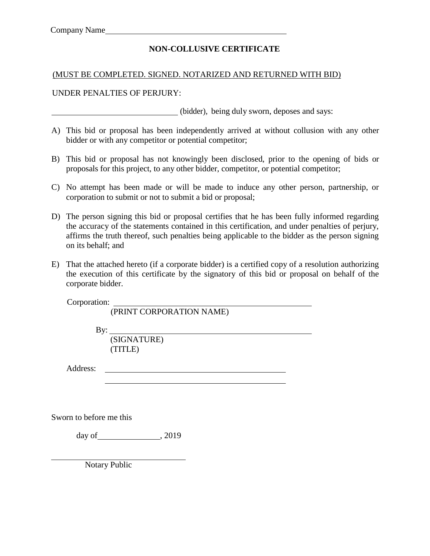## **NON-COLLUSIVE CERTIFICATE**

#### (MUST BE COMPLETED. SIGNED. NOTARIZED AND RETURNED WITH BID)

#### UNDER PENALTIES OF PERJURY:

(bidder), being duly sworn, deposes and says:

- A) This bid or proposal has been independently arrived at without collusion with any other bidder or with any competitor or potential competitor;
- B) This bid or proposal has not knowingly been disclosed, prior to the opening of bids or proposals for this project, to any other bidder, competitor, or potential competitor;
- C) No attempt has been made or will be made to induce any other person, partnership, or corporation to submit or not to submit a bid or proposal;
- D) The person signing this bid or proposal certifies that he has been fully informed regarding the accuracy of the statements contained in this certification, and under penalties of perjury, affirms the truth thereof, such penalties being applicable to the bidder as the person signing on its behalf; and
- E) That the attached hereto (if a corporate bidder) is a certified copy of a resolution authorizing the execution of this certificate by the signatory of this bid or proposal on behalf of the corporate bidder.

Corporation:

(PRINT CORPORATION NAME)

By: **Example 2018** (SIGNATURE) (TITLE)

Address:

Sworn to before me this

day of , 2019

Notary Public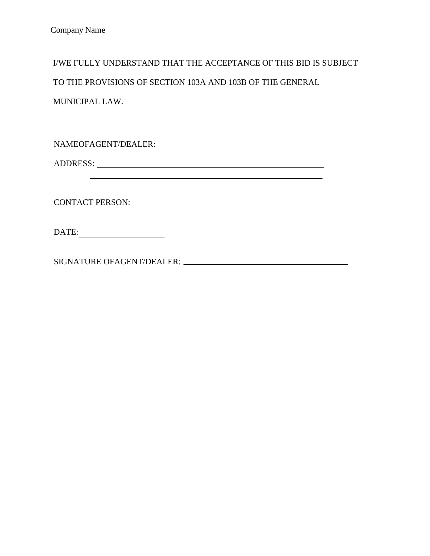| I/WE FULLY UNDERSTAND THAT THE ACCEPTANCE OF THIS BID IS SUBJECT |
|------------------------------------------------------------------|
| TO THE PROVISIONS OF SECTION 103A AND 103B OF THE GENERAL        |

MUNICIPAL LAW.

NAMEOFAGENT/DEALER:

ADDRESS:

CONTACT PERSON:

DATE:

SIGNATURE OFAGENT/DEALER: